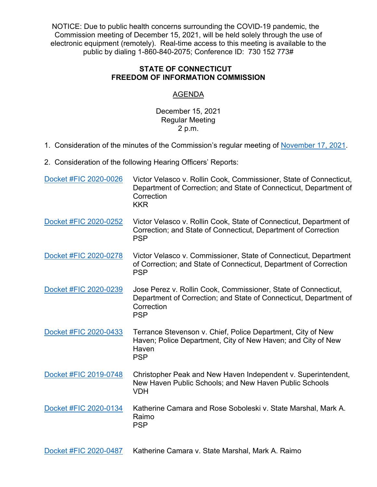NOTICE: Due to public health concerns surrounding the COVID-19 pandemic, the Commission meeting of December 15, 2021, will be held solely through the use of electronic equipment (remotely). Real-time access to this meeting is available to the public by dialing 1-860-840-2075; Conference ID: 730 152 773#

## **STATE OF CONNECTICUT FREEDOM OF INFORMATION COMMISSION**

## AGENDA

## December 15, 2021 Regular Meeting 2 p.m.

- 1. Consideration of the minutes of the Commission's regular meeting of [November 17, 2021.](https://portal.ct.gov/-/media/FOI/Minutes/2021/Minutes-11-17-2021b.pdf)
- 2. Consideration of the following Hearing Officers' Reports:

| Docket #FIC 2020-0026 | Victor Velasco v. Rollin Cook, Commissioner, State of Connecticut,<br>Department of Correction; and State of Connecticut, Department of<br>Correction<br><b>KKR</b> |
|-----------------------|---------------------------------------------------------------------------------------------------------------------------------------------------------------------|
| Docket #FIC 2020-0252 | Victor Velasco v. Rollin Cook, State of Connecticut, Department of<br>Correction; and State of Connecticut, Department of Correction<br><b>PSP</b>                  |
| Docket #FIC 2020-0278 | Victor Velasco v. Commissioner, State of Connecticut, Department<br>of Correction; and State of Connecticut, Department of Correction<br><b>PSP</b>                 |
| Docket #FIC 2020-0239 | Jose Perez v. Rollin Cook, Commissioner, State of Connecticut,<br>Department of Correction; and State of Connecticut, Department of<br>Correction<br><b>PSP</b>     |
| Docket #FIC 2020-0433 | Terrance Stevenson v. Chief, Police Department, City of New<br>Haven; Police Department, City of New Haven; and City of New<br>Haven<br><b>PSP</b>                  |
| Docket #FIC 2019-0748 | Christopher Peak and New Haven Independent v. Superintendent,<br>New Haven Public Schools; and New Haven Public Schools<br><b>VDH</b>                               |
| Docket #FIC 2020-0134 | Katherine Camara and Rose Soboleski v. State Marshal, Mark A.<br>Raimo<br><b>PSP</b>                                                                                |
| Docket #FIC 2020-0487 | Katherine Camara v. State Marshal, Mark A. Raimo                                                                                                                    |